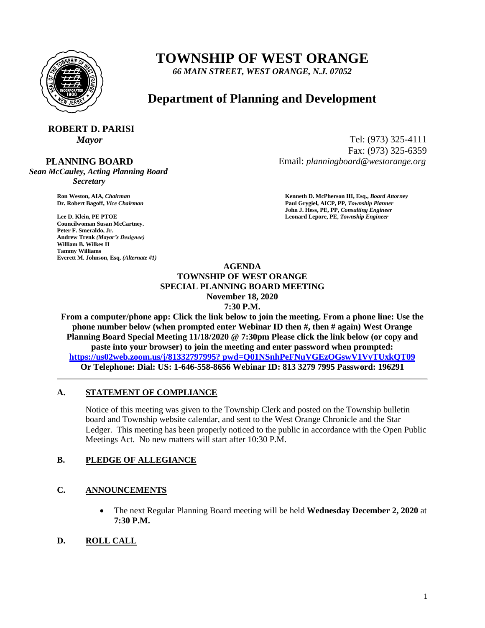

# **TOWNSHIP OF WEST ORANGE**

*66 MAIN STREET, WEST ORANGE, N.J. 07052*

# **Department of Planning and Development**

# **ROBERT D. PARISI**

 **PLANNING BOARD**

*Sean McCauley, Acting Planning Board Secretary*

**Councilwoman Susan McCartney. Peter F. Smeraldo, Jr. Andrew Trenk** *(Mayor's Designee)* **William B. Wilkes II Tammy Williams Everett M. Johnson, Esq.** *(Alternate #1)*

*Mayor* Tel: (973) 325-4111 Fax: (973) 325-6359 Email: *planningboard@westorange.org*

**Ron Weston, AIA,** *Chairman* **<b>Kenneth D. McPherson III, Esq.,** *Board Attorney* **Criminal Community Community Community Community Community Community Community Community Community Community Community Community Community Co Dr. Robert Bagoff,** *Vice Chairman* **Paul Grygiel, AICP, PP,** *Township Planner* **John J. Hess, PE, PP,** *Consulting Engineer* **Lee D. Klein, PE PTOE Leonard Lepore, PE,** *Township Engineer*

#### **AGENDA TOWNSHIP OF WEST ORANGE SPECIAL PLANNING BOARD MEETING November 18, 2020 7:30 P.M.**

**From a computer/phone app: Click the link below to join the meeting. From a phone line: Use the phone number below (when prompted enter Webinar ID then #, then # again) West Orange Planning Board Special Meeting 11/18/2020 @ 7:30pm Please click the link below (or copy and paste into your browser) to join the meeting and enter password when prompted: [https://us02web.zoom.us/j/81332797995? pwd=Q01NSnhPeFNuVGEzOGswV1VyTUxkQT09](https://us02web.zoom.us/j/81332797995?%20pwd=Q01NSnhPeFNuVGEzOGswV1VyTUxkQT09) Or Telephone: Dial: US: 1-646-558-8656 Webinar ID: 813 3279 7995 Password: 196291**

#### **A. STATEMENT OF COMPLIANCE**

Notice of this meeting was given to the Township Clerk and posted on the Township bulletin board and Township website calendar, and sent to the West Orange Chronicle and the Star Ledger. This meeting has been properly noticed to the public in accordance with the Open Public Meetings Act. No new matters will start after 10:30 P.M.

#### **B. PLEDGE OF ALLEGIANCE**

# **C. ANNOUNCEMENTS**

 The next Regular Planning Board meeting will be held **Wednesday December 2, 2020** at **7:30 P.M.**

# **D. ROLL CALL**